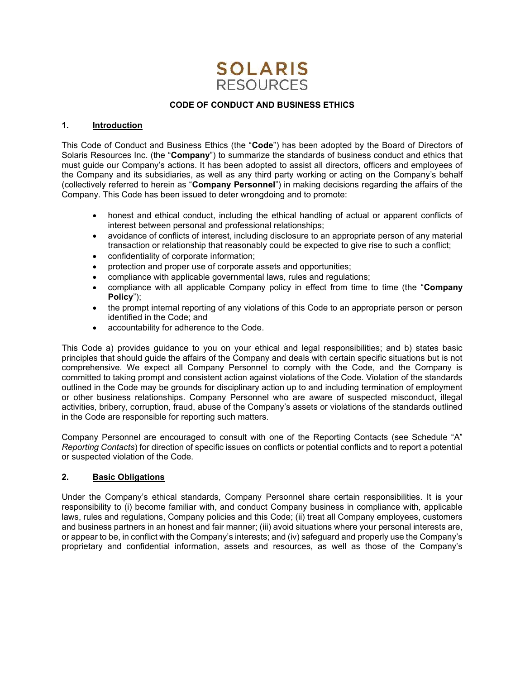

#### CODE OF CONDUCT AND BUSINESS ETHICS

### 1. Introduction

This Code of Conduct and Business Ethics (the "Code") has been adopted by the Board of Directors of Solaris Resources Inc. (the "Company") to summarize the standards of business conduct and ethics that must guide our Company's actions. It has been adopted to assist all directors, officers and employees of the Company and its subsidiaries, as well as any third party working or acting on the Company's behalf (collectively referred to herein as "Company Personnel") in making decisions regarding the affairs of the Company. This Code has been issued to deter wrongdoing and to promote:

- honest and ethical conduct, including the ethical handling of actual or apparent conflicts of interest between personal and professional relationships;
- avoidance of conflicts of interest, including disclosure to an appropriate person of any material transaction or relationship that reasonably could be expected to give rise to such a conflict;
- confidentiality of corporate information;
- protection and proper use of corporate assets and opportunities;
- compliance with applicable governmental laws, rules and regulations;
- compliance with all applicable Company policy in effect from time to time (the "Company Policy");
- the prompt internal reporting of any violations of this Code to an appropriate person or person identified in the Code; and
- accountability for adherence to the Code.

This Code a) provides guidance to you on your ethical and legal responsibilities; and b) states basic principles that should guide the affairs of the Company and deals with certain specific situations but is not comprehensive. We expect all Company Personnel to comply with the Code, and the Company is committed to taking prompt and consistent action against violations of the Code. Violation of the standards outlined in the Code may be grounds for disciplinary action up to and including termination of employment or other business relationships. Company Personnel who are aware of suspected misconduct, illegal activities, bribery, corruption, fraud, abuse of the Company's assets or violations of the standards outlined in the Code are responsible for reporting such matters.

Company Personnel are encouraged to consult with one of the Reporting Contacts (see Schedule "A" Reporting Contacts) for direction of specific issues on conflicts or potential conflicts and to report a potential or suspected violation of the Code.

#### 2. Basic Obligations

Under the Company's ethical standards, Company Personnel share certain responsibilities. It is your responsibility to (i) become familiar with, and conduct Company business in compliance with, applicable laws, rules and regulations, Company policies and this Code; (ii) treat all Company employees, customers and business partners in an honest and fair manner; (iii) avoid situations where your personal interests are, or appear to be, in conflict with the Company's interests; and (iv) safeguard and properly use the Company's proprietary and confidential information, assets and resources, as well as those of the Company's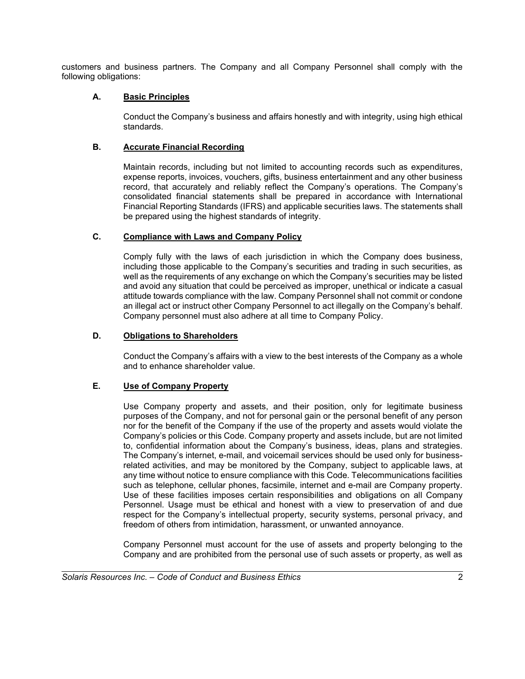customers and business partners. The Company and all Company Personnel shall comply with the following obligations:

# A. Basic Principles

Conduct the Company's business and affairs honestly and with integrity, using high ethical standards.

# B. Accurate Financial Recording

Maintain records, including but not limited to accounting records such as expenditures, expense reports, invoices, vouchers, gifts, business entertainment and any other business record, that accurately and reliably reflect the Company's operations. The Company's consolidated financial statements shall be prepared in accordance with International Financial Reporting Standards (IFRS) and applicable securities laws. The statements shall be prepared using the highest standards of integrity.

# C. Compliance with Laws and Company Policy

Comply fully with the laws of each jurisdiction in which the Company does business, including those applicable to the Company's securities and trading in such securities, as well as the requirements of any exchange on which the Company's securities may be listed and avoid any situation that could be perceived as improper, unethical or indicate a casual attitude towards compliance with the law. Company Personnel shall not commit or condone an illegal act or instruct other Company Personnel to act illegally on the Company's behalf. Company personnel must also adhere at all time to Company Policy.

## D. Obligations to Shareholders

Conduct the Company's affairs with a view to the best interests of the Company as a whole and to enhance shareholder value.

## E. Use of Company Property

Use Company property and assets, and their position, only for legitimate business purposes of the Company, and not for personal gain or the personal benefit of any person nor for the benefit of the Company if the use of the property and assets would violate the Company's policies or this Code. Company property and assets include, but are not limited to, confidential information about the Company's business, ideas, plans and strategies. The Company's internet, e-mail, and voicemail services should be used only for businessrelated activities, and may be monitored by the Company, subject to applicable laws, at any time without notice to ensure compliance with this Code. Telecommunications facilities such as telephone, cellular phones, facsimile, internet and e-mail are Company property. Use of these facilities imposes certain responsibilities and obligations on all Company Personnel. Usage must be ethical and honest with a view to preservation of and due respect for the Company's intellectual property, security systems, personal privacy, and freedom of others from intimidation, harassment, or unwanted annoyance.

Company Personnel must account for the use of assets and property belonging to the Company and are prohibited from the personal use of such assets or property, as well as

l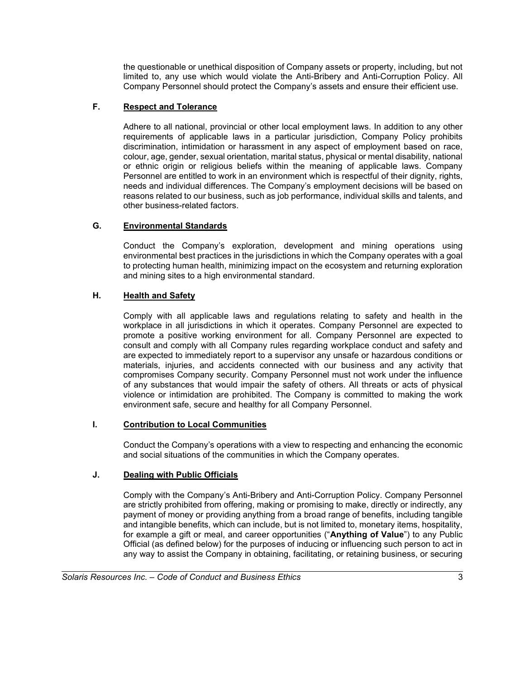the questionable or unethical disposition of Company assets or property, including, but not limited to, any use which would violate the Anti-Bribery and Anti-Corruption Policy. All Company Personnel should protect the Company's assets and ensure their efficient use.

# F. Respect and Tolerance

Adhere to all national, provincial or other local employment laws. In addition to any other requirements of applicable laws in a particular jurisdiction, Company Policy prohibits discrimination, intimidation or harassment in any aspect of employment based on race, colour, age, gender, sexual orientation, marital status, physical or mental disability, national or ethnic origin or religious beliefs within the meaning of applicable laws. Company Personnel are entitled to work in an environment which is respectful of their dignity, rights, needs and individual differences. The Company's employment decisions will be based on reasons related to our business, such as job performance, individual skills and talents, and other business-related factors.

## G. Environmental Standards

Conduct the Company's exploration, development and mining operations using environmental best practices in the jurisdictions in which the Company operates with a goal to protecting human health, minimizing impact on the ecosystem and returning exploration and mining sites to a high environmental standard.

### H. Health and Safety

Comply with all applicable laws and regulations relating to safety and health in the workplace in all jurisdictions in which it operates. Company Personnel are expected to promote a positive working environment for all. Company Personnel are expected to consult and comply with all Company rules regarding workplace conduct and safety and are expected to immediately report to a supervisor any unsafe or hazardous conditions or materials, injuries, and accidents connected with our business and any activity that compromises Company security. Company Personnel must not work under the influence of any substances that would impair the safety of others. All threats or acts of physical violence or intimidation are prohibited. The Company is committed to making the work environment safe, secure and healthy for all Company Personnel.

## I. Contribution to Local Communities

Conduct the Company's operations with a view to respecting and enhancing the economic and social situations of the communities in which the Company operates.

#### J. Dealing with Public Officials

l

Comply with the Company's Anti-Bribery and Anti-Corruption Policy. Company Personnel are strictly prohibited from offering, making or promising to make, directly or indirectly, any payment of money or providing anything from a broad range of benefits, including tangible and intangible benefits, which can include, but is not limited to, monetary items, hospitality, for example a gift or meal, and career opportunities ("Anything of Value") to any Public Official (as defined below) for the purposes of inducing or influencing such person to act in any way to assist the Company in obtaining, facilitating, or retaining business, or securing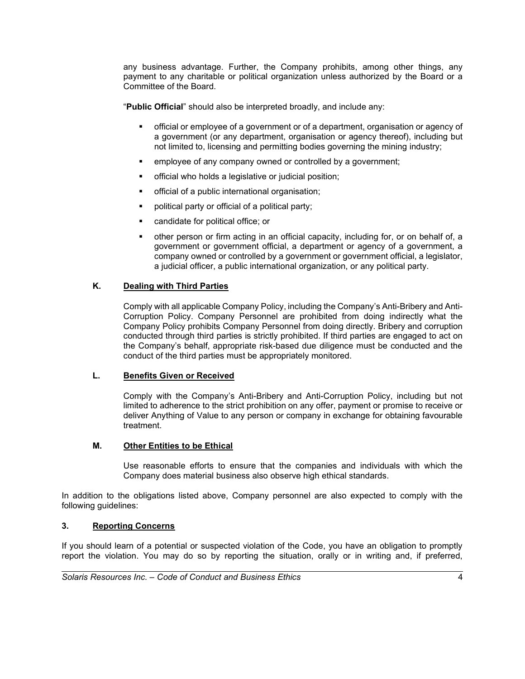any business advantage. Further, the Company prohibits, among other things, any payment to any charitable or political organization unless authorized by the Board or a Committee of the Board.

"Public Official" should also be interpreted broadly, and include any:

- official or employee of a government or of a department, organisation or agency of a government (or any department, organisation or agency thereof), including but not limited to, licensing and permitting bodies governing the mining industry;
- **EXECT** employee of any company owned or controlled by a government;
- official who holds a legislative or judicial position;
- official of a public international organisation;
- **•** political party or official of a political party;
- candidate for political office; or
- other person or firm acting in an official capacity, including for, or on behalf of, a government or government official, a department or agency of a government, a company owned or controlled by a government or government official, a legislator, a judicial officer, a public international organization, or any political party.

### K. Dealing with Third Parties

Comply with all applicable Company Policy, including the Company's Anti-Bribery and Anti-Corruption Policy. Company Personnel are prohibited from doing indirectly what the Company Policy prohibits Company Personnel from doing directly. Bribery and corruption conducted through third parties is strictly prohibited. If third parties are engaged to act on the Company's behalf, appropriate risk-based due diligence must be conducted and the conduct of the third parties must be appropriately monitored.

#### L. Benefits Given or Received

Comply with the Company's Anti-Bribery and Anti-Corruption Policy, including but not limited to adherence to the strict prohibition on any offer, payment or promise to receive or deliver Anything of Value to any person or company in exchange for obtaining favourable treatment.

#### M. Other Entities to be Ethical

Use reasonable efforts to ensure that the companies and individuals with which the Company does material business also observe high ethical standards.

In addition to the obligations listed above, Company personnel are also expected to comply with the following guidelines:

## 3. Reporting Concerns

l

If you should learn of a potential or suspected violation of the Code, you have an obligation to promptly report the violation. You may do so by reporting the situation, orally or in writing and, if preferred,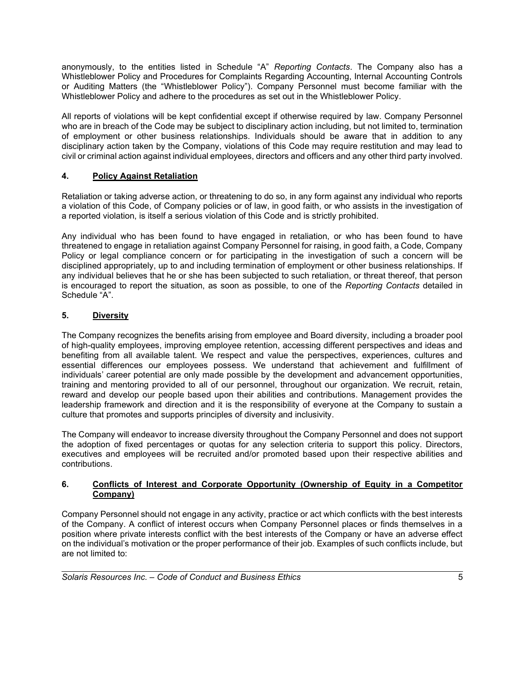anonymously, to the entities listed in Schedule "A" Reporting Contacts. The Company also has a Whistleblower Policy and Procedures for Complaints Regarding Accounting, Internal Accounting Controls or Auditing Matters (the "Whistleblower Policy"). Company Personnel must become familiar with the Whistleblower Policy and adhere to the procedures as set out in the Whistleblower Policy.

All reports of violations will be kept confidential except if otherwise required by law. Company Personnel who are in breach of the Code may be subject to disciplinary action including, but not limited to, termination of employment or other business relationships. Individuals should be aware that in addition to any disciplinary action taken by the Company, violations of this Code may require restitution and may lead to civil or criminal action against individual employees, directors and officers and any other third party involved.

# 4. Policy Against Retaliation

Retaliation or taking adverse action, or threatening to do so, in any form against any individual who reports a violation of this Code, of Company policies or of law, in good faith, or who assists in the investigation of a reported violation, is itself a serious violation of this Code and is strictly prohibited.

Any individual who has been found to have engaged in retaliation, or who has been found to have threatened to engage in retaliation against Company Personnel for raising, in good faith, a Code, Company Policy or legal compliance concern or for participating in the investigation of such a concern will be disciplined appropriately, up to and including termination of employment or other business relationships. If any individual believes that he or she has been subjected to such retaliation, or threat thereof, that person is encouraged to report the situation, as soon as possible, to one of the Reporting Contacts detailed in Schedule "A".

# 5. Diversity

l

The Company recognizes the benefits arising from employee and Board diversity, including a broader pool of high-quality employees, improving employee retention, accessing different perspectives and ideas and benefiting from all available talent. We respect and value the perspectives, experiences, cultures and essential differences our employees possess. We understand that achievement and fulfillment of individuals' career potential are only made possible by the development and advancement opportunities, training and mentoring provided to all of our personnel, throughout our organization. We recruit, retain, reward and develop our people based upon their abilities and contributions. Management provides the leadership framework and direction and it is the responsibility of everyone at the Company to sustain a culture that promotes and supports principles of diversity and inclusivity.

The Company will endeavor to increase diversity throughout the Company Personnel and does not support the adoption of fixed percentages or quotas for any selection criteria to support this policy. Directors, executives and employees will be recruited and/or promoted based upon their respective abilities and contributions.

### 6. Conflicts of Interest and Corporate Opportunity (Ownership of Equity in a Competitor Company)

Company Personnel should not engage in any activity, practice or act which conflicts with the best interests of the Company. A conflict of interest occurs when Company Personnel places or finds themselves in a position where private interests conflict with the best interests of the Company or have an adverse effect on the individual's motivation or the proper performance of their job. Examples of such conflicts include, but are not limited to: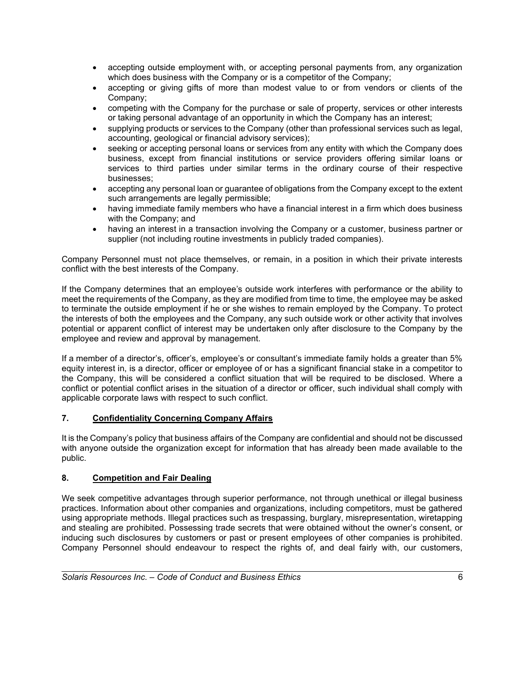- accepting outside employment with, or accepting personal payments from, any organization which does business with the Company or is a competitor of the Company;
- accepting or giving gifts of more than modest value to or from vendors or clients of the Company;
- competing with the Company for the purchase or sale of property, services or other interests or taking personal advantage of an opportunity in which the Company has an interest;
- supplying products or services to the Company (other than professional services such as legal, accounting, geological or financial advisory services);
- seeking or accepting personal loans or services from any entity with which the Company does business, except from financial institutions or service providers offering similar loans or services to third parties under similar terms in the ordinary course of their respective businesses;
- accepting any personal loan or guarantee of obligations from the Company except to the extent such arrangements are legally permissible;
- having immediate family members who have a financial interest in a firm which does business with the Company; and
- having an interest in a transaction involving the Company or a customer, business partner or supplier (not including routine investments in publicly traded companies).

Company Personnel must not place themselves, or remain, in a position in which their private interests conflict with the best interests of the Company.

If the Company determines that an employee's outside work interferes with performance or the ability to meet the requirements of the Company, as they are modified from time to time, the employee may be asked to terminate the outside employment if he or she wishes to remain employed by the Company. To protect the interests of both the employees and the Company, any such outside work or other activity that involves potential or apparent conflict of interest may be undertaken only after disclosure to the Company by the employee and review and approval by management.

If a member of a director's, officer's, employee's or consultant's immediate family holds a greater than 5% equity interest in, is a director, officer or employee of or has a significant financial stake in a competitor to the Company, this will be considered a conflict situation that will be required to be disclosed. Where a conflict or potential conflict arises in the situation of a director or officer, such individual shall comply with applicable corporate laws with respect to such conflict.

## 7. Confidentiality Concerning Company Affairs

It is the Company's policy that business affairs of the Company are confidential and should not be discussed with anyone outside the organization except for information that has already been made available to the public.

## 8. Competition and Fair Dealing

l

We seek competitive advantages through superior performance, not through unethical or illegal business practices. Information about other companies and organizations, including competitors, must be gathered using appropriate methods. Illegal practices such as trespassing, burglary, misrepresentation, wiretapping and stealing are prohibited. Possessing trade secrets that were obtained without the owner's consent, or inducing such disclosures by customers or past or present employees of other companies is prohibited. Company Personnel should endeavour to respect the rights of, and deal fairly with, our customers,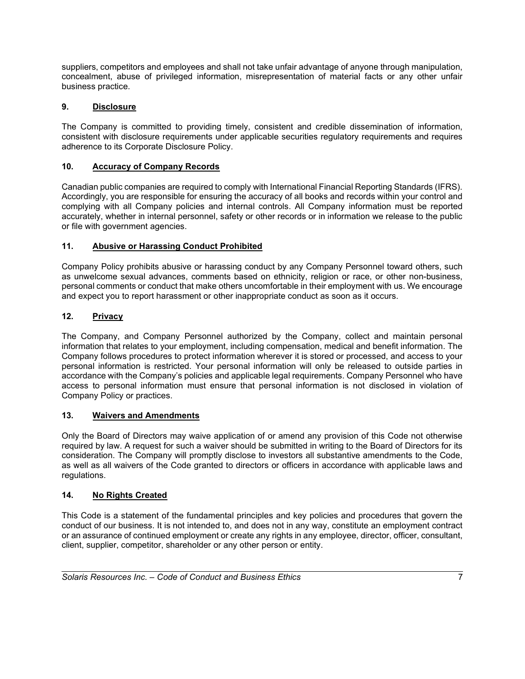suppliers, competitors and employees and shall not take unfair advantage of anyone through manipulation, concealment, abuse of privileged information, misrepresentation of material facts or any other unfair business practice.

# 9. Disclosure

The Company is committed to providing timely, consistent and credible dissemination of information, consistent with disclosure requirements under applicable securities regulatory requirements and requires adherence to its Corporate Disclosure Policy.

# 10. Accuracy of Company Records

Canadian public companies are required to comply with International Financial Reporting Standards (IFRS). Accordingly, you are responsible for ensuring the accuracy of all books and records within your control and complying with all Company policies and internal controls. All Company information must be reported accurately, whether in internal personnel, safety or other records or in information we release to the public or file with government agencies.

# 11. Abusive or Harassing Conduct Prohibited

Company Policy prohibits abusive or harassing conduct by any Company Personnel toward others, such as unwelcome sexual advances, comments based on ethnicity, religion or race, or other non-business, personal comments or conduct that make others uncomfortable in their employment with us. We encourage and expect you to report harassment or other inappropriate conduct as soon as it occurs.

# 12. Privacy

The Company, and Company Personnel authorized by the Company, collect and maintain personal information that relates to your employment, including compensation, medical and benefit information. The Company follows procedures to protect information wherever it is stored or processed, and access to your personal information is restricted. Your personal information will only be released to outside parties in accordance with the Company's policies and applicable legal requirements. Company Personnel who have access to personal information must ensure that personal information is not disclosed in violation of Company Policy or practices.

# 13. Waivers and Amendments

Only the Board of Directors may waive application of or amend any provision of this Code not otherwise required by law. A request for such a waiver should be submitted in writing to the Board of Directors for its consideration. The Company will promptly disclose to investors all substantive amendments to the Code, as well as all waivers of the Code granted to directors or officers in accordance with applicable laws and regulations.

# 14. No Rights Created

l

This Code is a statement of the fundamental principles and key policies and procedures that govern the conduct of our business. It is not intended to, and does not in any way, constitute an employment contract or an assurance of continued employment or create any rights in any employee, director, officer, consultant, client, supplier, competitor, shareholder or any other person or entity.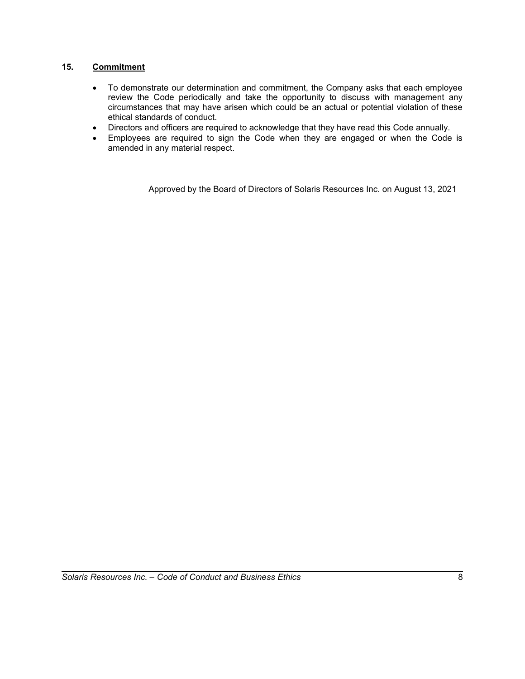# 15. Commitment

- To demonstrate our determination and commitment, the Company asks that each employee review the Code periodically and take the opportunity to discuss with management any circumstances that may have arisen which could be an actual or potential violation of these ethical standards of conduct.
- Directors and officers are required to acknowledge that they have read this Code annually.
- Employees are required to sign the Code when they are engaged or when the Code is amended in any material respect.

Approved by the Board of Directors of Solaris Resources Inc. on August 13, 2021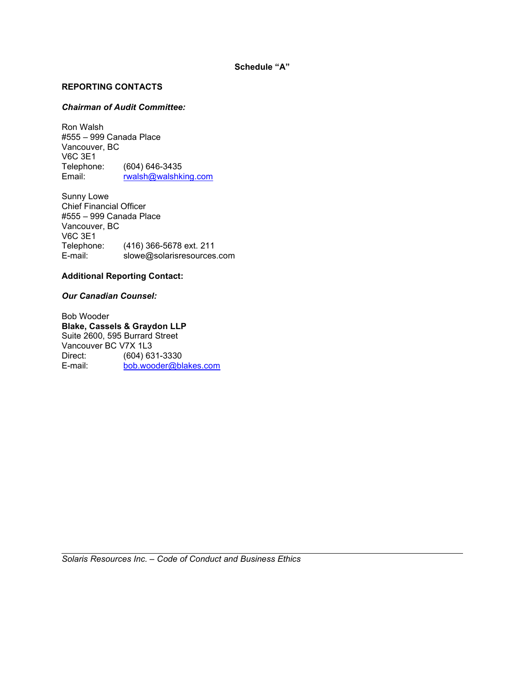## REPORTING CONTACTS

### Chairman of Audit Committee:

Ron Walsh #555 – 999 Canada Place Vancouver, BC V6C 3E1 Telephone: (604) 646-3435<br>Email: rwalsh@walshki rwalsh@walshking.com

Sunny Lowe Chief Financial Officer #555 – 999 Canada Place Vancouver, BC V6C 3E1<br>Telephone: Telephone: (416) 366-5678 ext. 211<br>E-mail: slowe@solarisresources slowe@solarisresources.com

### Additional Reporting Contact:

#### Our Canadian Counsel:

l

Bob Wooder Blake, Cassels & Graydon LLP Suite 2600, 595 Burrard Street Vancouver BC V7X 1L3 Direct: (604) 631-3330<br>
E-mail: bob.wooder@bl bob.wooder@blakes.com

Solaris Resources Inc. – Code of Conduct and Business Ethics